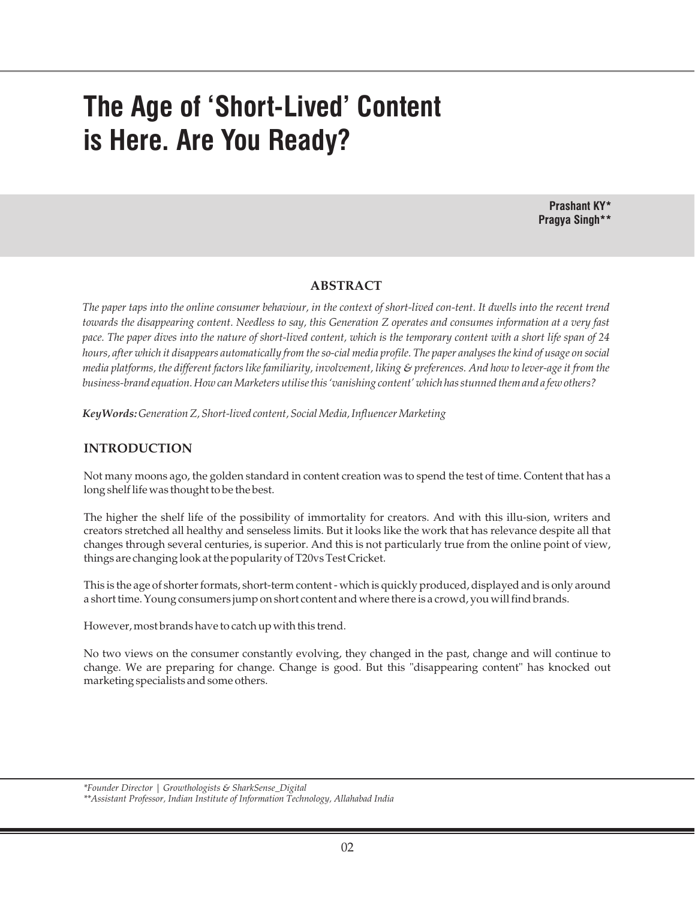# **The Age of 'Short-Lived' Content is Here. Are You Ready?**

**Prashant KY\* Pragya Singh\*\***

#### **ABSTRACT**

*The paper taps into the online consumer behaviour, in the context of short-lived con-tent. It dwells into the recent trend towards the disappearing content. Needless to say, this Generation Z operates and consumes information at a very fast pace. The paper dives into the nature of short-lived content, which is the temporary content with a short life span of 24 hours, after which it disappears automatically from the so-cial media profile. The paper analyses the kind of usage on social media platforms, the different factors like familiarity, involvement, liking & preferences. And how to lever-age it from the business-brand equation. How can Marketers utilise this 'vanishing content' which has stunned them and a few others?*

*KeyWords: Generation Z, Short-lived content, Social Media, Influencer Marketing*

#### **INTRODUCTION**

Not many moons ago, the golden standard in content creation was to spend the test of time. Content that has a long shelf life was thought to be the best.

The higher the shelf life of the possibility of immortality for creators. And with this illu-sion, writers and creators stretched all healthy and senseless limits. But it looks like the work that has relevance despite all that changes through several centuries, is superior. And this is not particularly true from the online point of view, things are changing look at the popularity of T20vs Test Cricket.

This is the age of shorter formats, short-term content - which is quickly produced, displayed and is only around a short time. Young consumers jump on short content and where there is a crowd, you will find brands.

However, most brands have to catch up with this trend.

No two views on the consumer constantly evolving, they changed in the past, change and will continue to change. We are preparing for change. Change is good. But this "disappearing content" has knocked out marketing specialists and some others.

*<sup>\*</sup>Founder Director | Growthologists & SharkSense\_Digital*

*<sup>\*\*</sup>Assistant Professor, Indian Institute of Information Technology, Allahabad India*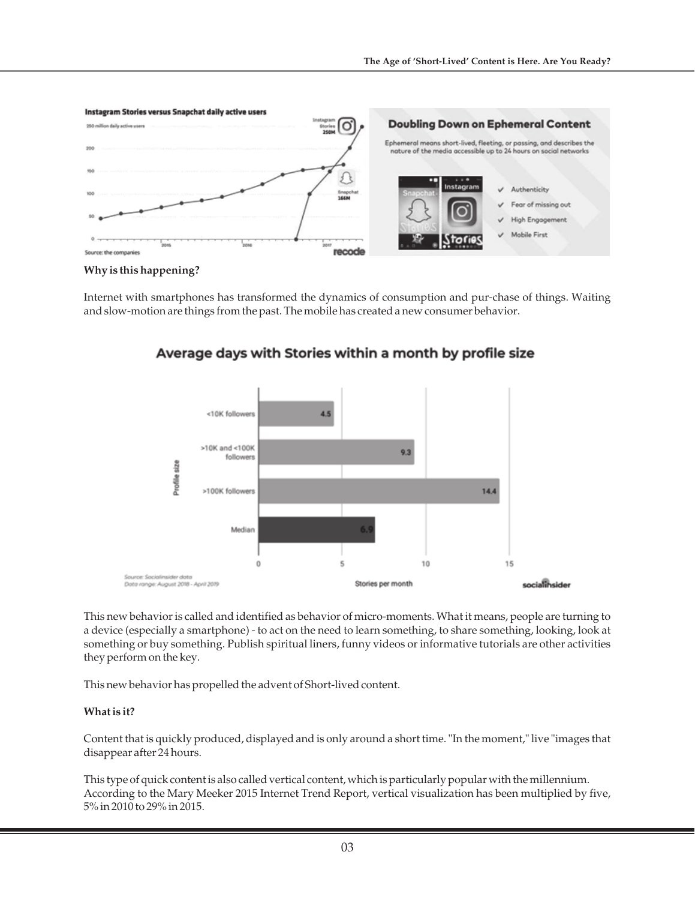

#### **Why is this happening?**

Internet with smartphones has transformed the dynamics of consumption and pur-chase of things. Waiting and slow-motion are things from the past. The mobile has created a new consumer behavior.



Average days with Stories within a month by profile size

This new behavior is called and identified as behavior of micro-moments. What it means, people are turning to a device (especially a smartphone) - to act on the need to learn something, to share something, looking, look at something or buy something. Publish spiritual liners, funny videos or informative tutorials are other activities they perform on the key.

This new behavior has propelled the advent of Short-lived content.

#### **What is it?**

Content that is quickly produced, displayed and is only around a short time. "In the moment," live "images that disappear after 24 hours.

This type of quick content is also called vertical content, which is particularly popular with the millennium. According to the Mary Meeker 2015 Internet Trend Report, vertical visualization has been multiplied by five, 5% in 2010 to 29% in 2015.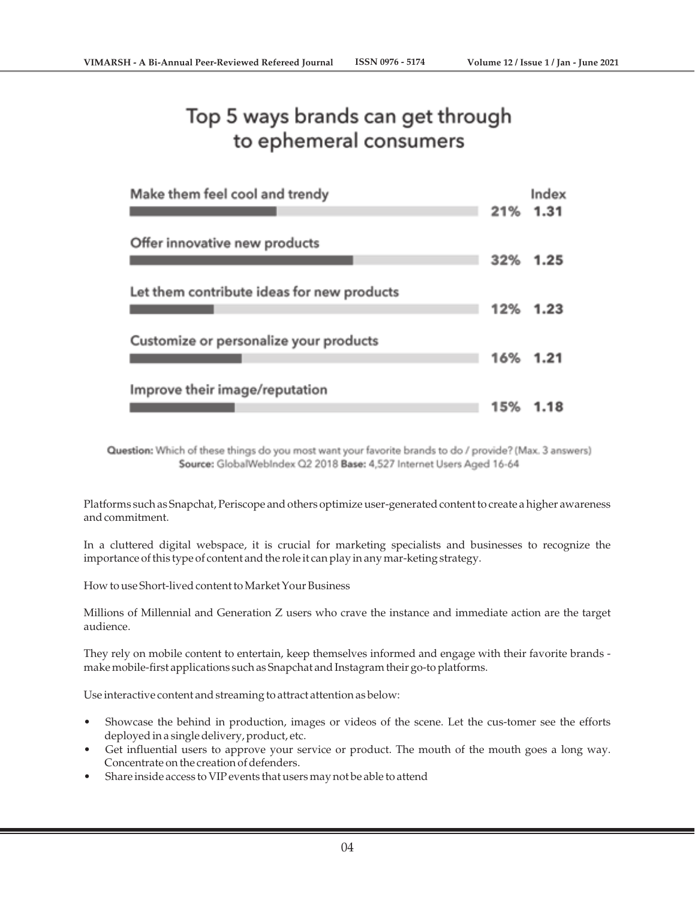## Top 5 ways brands can get through to ephemeral consumers

| Make them feel cool and trendy             |     | Index<br>21% 1.31 |
|--------------------------------------------|-----|-------------------|
| Offer innovative new products              | 32% | 1.25              |
| Let them contribute ideas for new products |     | 12% 1.23          |
| Customize or personalize your products     |     | 16% 1.21          |
| Improve their image/reputation             | 15% | 1.18              |

Question: Which of these things do you most want your favorite brands to do / provide? (Max. 3 answers) Source: GlobalWebIndex Q2 2018 Base: 4,527 Internet Users Aged 16-64

Platforms such as Snapchat, Periscope and others optimize user-generated content to create a higher awareness and commitment.

In a cluttered digital webspace, it is crucial for marketing specialists and businesses to recognize the importance of this type of content and the role it can play in any mar-keting strategy.

How to use Short-lived content to Market Your Business

Millions of Millennial and Generation Z users who crave the instance and immediate action are the target audience.

They rely on mobile content to entertain, keep themselves informed and engage with their favorite brands make mobile-first applications such as Snapchat and Instagram their go-to platforms.

Use interactive content and streaming to attract attention as below:

- Showcase the behind in production, images or videos of the scene. Let the cus-tomer see the efforts deployed in a single delivery, product, etc.
- Get influential users to approve your service or product. The mouth of the mouth goes a long way. Concentrate on the creation of defenders.
- Share inside access to VIP events that users may not be able to attend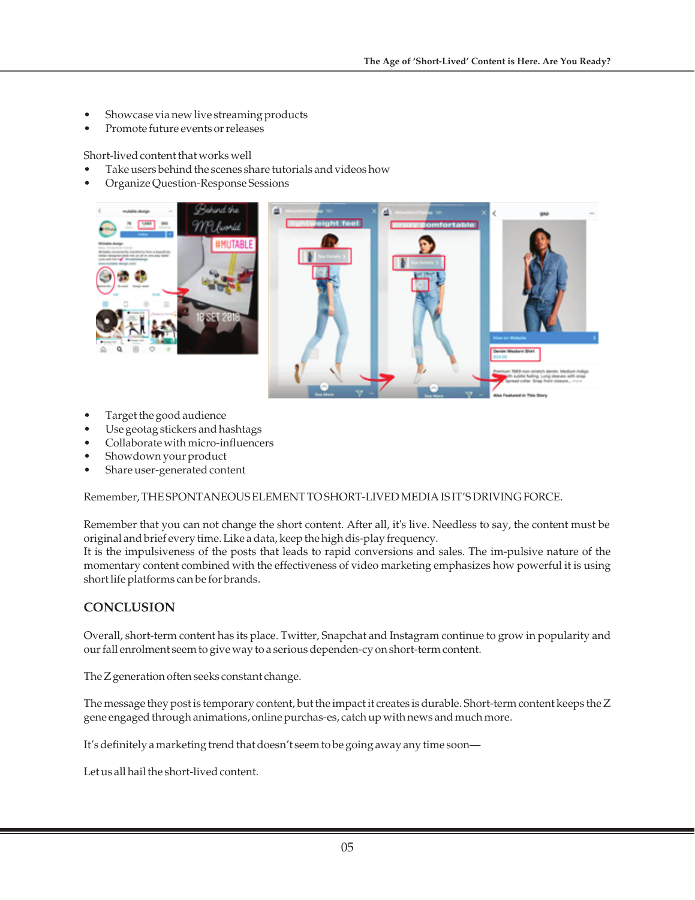- Showcase via new live streaming products
- Promote future events or releases

Short-lived content that works well

- Take users behind the scenes share tutorials and videos how
- Organize Question-Response Sessions



- Target the good audience
- Use geotag stickers and hashtags
- Collaborate with micro-influencers
- Showdown your product
- Share user-generated content

Remember, THE SPONTANEOUS ELEMENT TO SHORT-LIVED MEDIA IS IT'S DRIVING FORCE.

Remember that you can not change the short content. After all, it's live. Needless to say, the content must be original and brief every time. Like a data, keep the high dis-play frequency.

It is the impulsiveness of the posts that leads to rapid conversions and sales. The im-pulsive nature of the momentary content combined with the effectiveness of video marketing emphasizes how powerful it is using short life platforms can be for brands.

### **CONCLUSION**

Overall, short-term content has its place. Twitter, Snapchat and Instagram continue to grow in popularity and our fall enrolment seem to give way to a serious dependen-cy on short-term content.

The Z generation often seeks constant change.

The message they post is temporary content, but the impact it creates is durable. Short-term content keeps the Z gene engaged through animations, online purchas-es, catch up with news and much more.

It's definitely a marketing trend that doesn't seem to be going away any time soon—

Let us all hail the short-lived content.